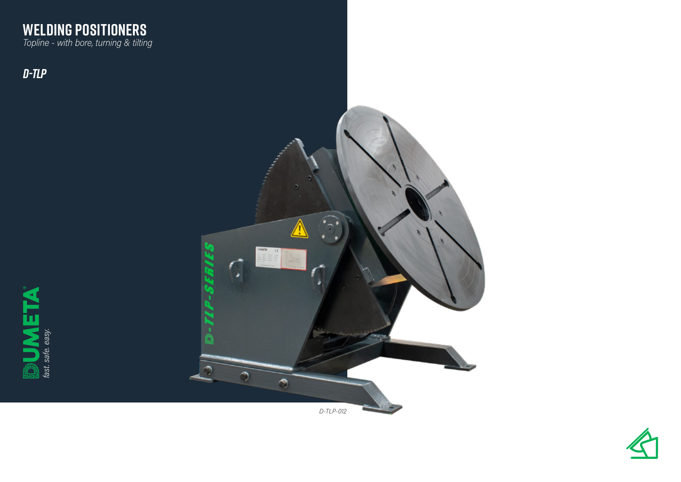

*D-TLP*





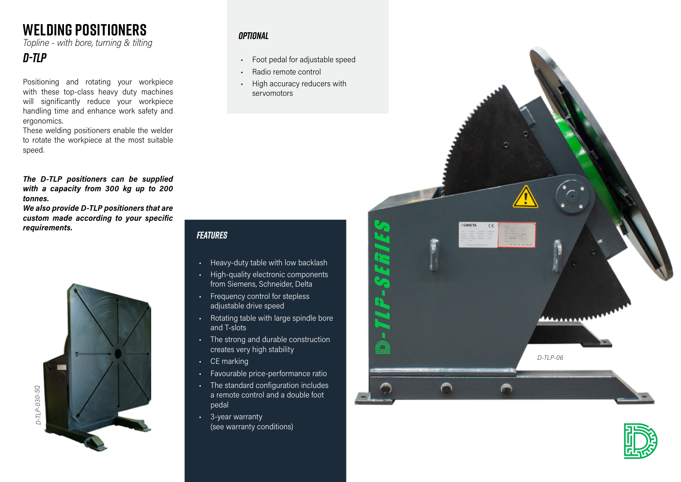# **WELDING POSITIONERS**

*Topline - with bore, turning & tilting* 

### *D-TLP*

Positioning and rotating your workpiece with these top-class heavy duty machines will significantly reduce your workpiece handling time and enhance work safety and ergonomics.

These welding positioners enable the welder to rotate the workpiece at the most suitable speed.

*The D-TLP positioners can be supplied with a capacity from 300 kg up to 200 tonnes.*

*We also provide D-TLP positioners that are custom made according to your specific requirements.*



#### *Optional*

- Foot pedal for adjustable speed
- Radio remote control
- High accuracy reducers with servomotors

### *Features*

- Heavy-duty table with low backlash
- High-quality electronic components from Siemens, Schneider, Delta
- Frequency control for stepless adjustable drive speed
- Rotating table with large spindle bore and T-slots
- The strong and durable construction creates very high stability
- CE marking
- Favourable price-performance ratio
- The standard configuration includes a remote control and a double foot pedal
- 3-year warranty (see warranty conditions)